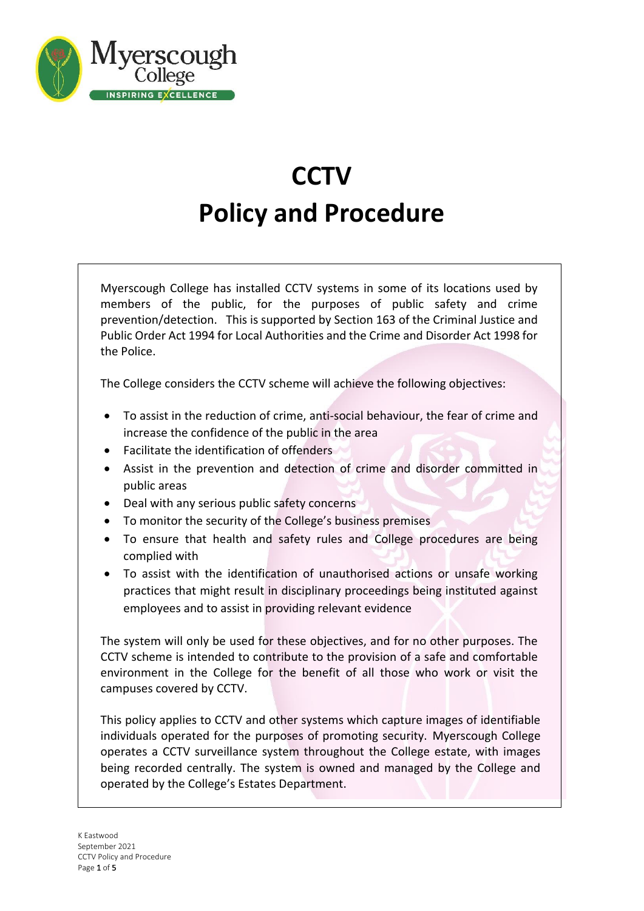

# **CCTV Policy and Procedure**

Myerscough College has installed CCTV systems in some of its locations used by members of the public, for the purposes of public safety and crime prevention/detection. This is supported by Section 163 of the Criminal Justice and Public Order Act 1994 for Local Authorities and the Crime and Disorder Act 1998 for the Police.

The College considers the CCTV scheme will achieve the following objectives:

- To assist in the reduction of crime, anti-social behaviour, the fear of crime and increase the confidence of the public in the area
- Facilitate the identification of offenders
- Assist in the prevention and detection of crime and disorder committed in public areas
- Deal with any serious public safety concerns
- To monitor the security of the College's business premises
- To ensure that health and safety rules and College procedures are being complied with
- To assist with the identification of unauthorised actions or unsafe working practices that might result in disciplinary proceedings being instituted against employees and to assist in providing relevant evidence

The system will only be used for these objectives, and for no other purposes. The CCTV scheme is intended to contribute to the provision of a safe and comfortable environment in the College for the benefit of all those who work or visit the campuses covered by CCTV.

This policy applies to CCTV and other systems which capture images of identifiable individuals operated for the purposes of promoting security. Myerscough College operates a CCTV surveillance system throughout the College estate, with images being recorded centrally. The system is owned and managed by the College and operated by the College's Estates Department.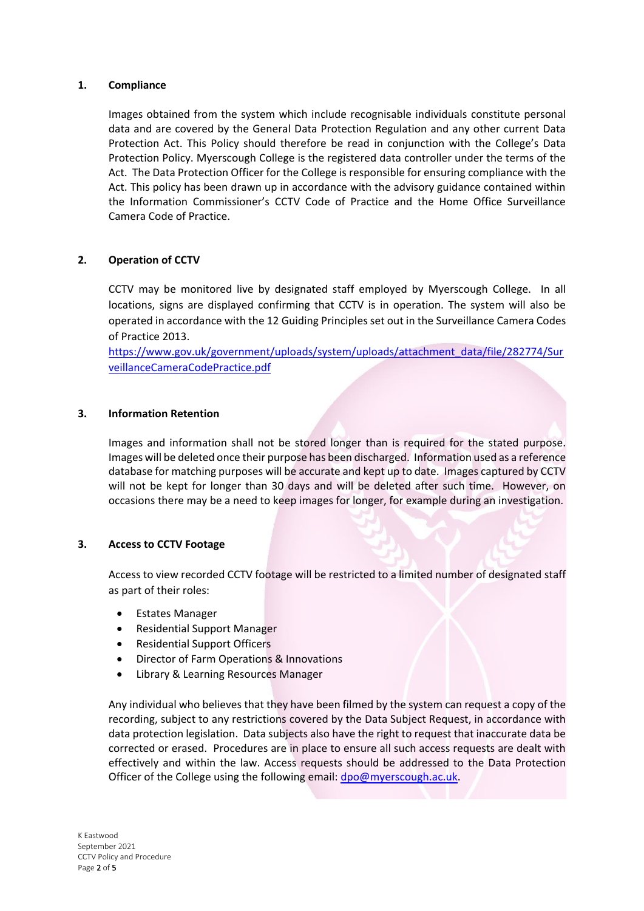## **1. Compliance**

Images obtained from the system which include recognisable individuals constitute personal data and are covered by the General Data Protection Regulation and any other current Data Protection Act. This Policy should therefore be read in conjunction with the College's Data Protection Policy. Myerscough College is the registered data controller under the terms of the Act. The Data Protection Officer for the College is responsible for ensuring compliance with the Act. This policy has been drawn up in accordance with the advisory guidance contained within the Information Commissioner's CCTV Code of Practice and the Home Office Surveillance Camera Code of Practice.

# **2. Operation of CCTV**

CCTV may be monitored live by designated staff employed by Myerscough College. In all locations, signs are displayed confirming that CCTV is in operation. The system will also be operated in accordance with the 12 Guiding Principles set out in the Surveillance Camera Codes of Practice 2013.

[https://www.gov.uk/government/uploads/system/uploads/attachment\\_data/file/282774/Sur](https://www.gov.uk/government/uploads/system/uploads/attachment_data/file/282774/SurveillanceCameraCodePractice.pdf) [veillanceCameraCodePractice.pdf](https://www.gov.uk/government/uploads/system/uploads/attachment_data/file/282774/SurveillanceCameraCodePractice.pdf)

# **3. Information Retention**

Images and information shall not be stored longer than is required for the stated purpose. Images will be deleted once their purpose has been discharged. Information used as a reference database for matching purposes will be accurate and kept up to date. Images captured by CCTV will not be kept for longer than 30 days and will be deleted after such time. However, on occasions there may be a need to keep images for longer, for example during an investigation.

#### **3. Access to CCTV Footage**

Access to view recorded CCTV footage will be restricted to a limited number of designated staff as part of their roles:

- Estates Manager
- Residential Support Manager
- Residential Support Officers
- Director of Farm Operations & Innovations
- Library & Learning Resources Manager

Any individual who believes that they have been filmed by the system can request a copy of the recording, subject to any restrictions covered by the Data Subject Request, in accordance with data protection legislation. Data subjects also have the right to request that inaccurate data be corrected or erased. Procedures are in place to ensure all such access requests are dealt with effectively and within the law. Access requests should be addressed to the Data Protection Officer of the College using the following email: [dpo@myerscough.ac.uk.](mailto:dpo@myerscough.ac.uk)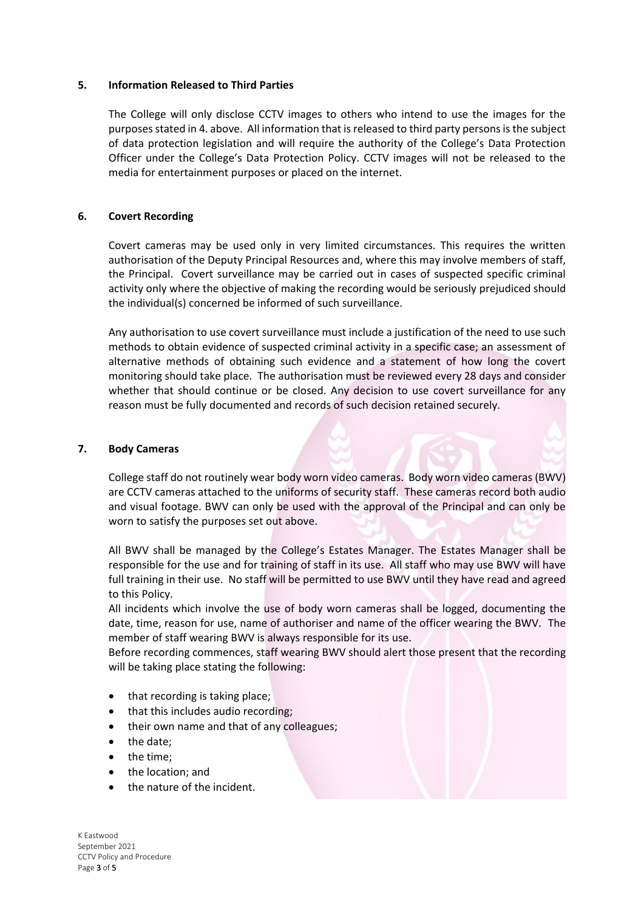#### **5. Information Released to Third Parties**

The College will only disclose CCTV images to others who intend to use the images for the purposes stated in 4. above. All information that is released to third party persons is the subject of data protection legislation and will require the authority of the College's Data Protection Officer under the College's Data Protection Policy. CCTV images will not be released to the media for entertainment purposes or placed on the internet.

## **6. Covert Recording**

Covert cameras may be used only in very limited circumstances. This requires the written authorisation of the Deputy Principal Resources and, where this may involve members of staff, the Principal. Covert surveillance may be carried out in cases of suspected specific criminal activity only where the objective of making the recording would be seriously prejudiced should the individual(s) concerned be informed of such surveillance.

Any authorisation to use covert surveillance must include a justification of the need to use such methods to obtain evidence of suspected criminal activity in a specific case; an assessment of alternative methods of obtaining such evidence and a statement of how long the covert monitoring should take place. The authorisation must be reviewed every 28 days and consider whether that should continue or be closed. Any decision to use covert surveillance for any reason must be fully documented and records of such decision retained securely.

## **7. Body Cameras**

College staff do not routinely wear body worn video cameras. Body worn video cameras (BWV) are CCTV cameras attached to the uniforms of security staff. These cameras record both audio and visual footage. BWV can only be used with the approval of the Principal and can only be worn to satisfy the purposes set out above.

All BWV shall be managed by the College's Estates Manager. The Estates Manager shall be responsible for the use and for training of staff in its use. All staff who may use BWV will have full training in their use. No staff will be permitted to use BWV until they have read and agreed to this Policy.

All incidents which involve the use of body worn cameras shall be logged, documenting the date, time, reason for use, name of authoriser and name of the officer wearing the BWV. The member of staff wearing BWV is always responsible for its use.

Before recording commences, staff wearing BWV should alert those present that the recording will be taking place stating the following:

- that recording is taking place;
- that this includes audio recording;
- their own name and that of any colleagues;
- the date;
- the time;
- the location; and
- the nature of the incident.

K Eastwood September 2021 CCTV Policy and Procedure Page 3 of 5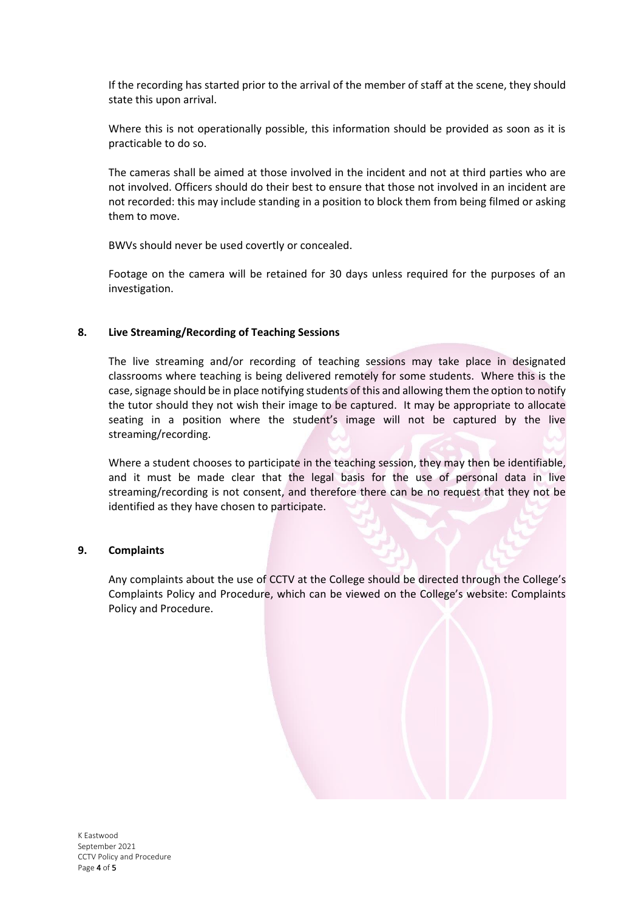If the recording has started prior to the arrival of the member of staff at the scene, they should state this upon arrival.

Where this is not operationally possible, this information should be provided as soon as it is practicable to do so.

The cameras shall be aimed at those involved in the incident and not at third parties who are not involved. Officers should do their best to ensure that those not involved in an incident are not recorded: this may include standing in a position to block them from being filmed or asking them to move.

BWVs should never be used covertly or concealed.

Footage on the camera will be retained for 30 days unless required for the purposes of an investigation.

## **8. Live Streaming/Recording of Teaching Sessions**

The live streaming and/or recording of teaching sessions may take place in designated classrooms where teaching is being delivered remotely for some students. Where this is the case, signage should be in place notifying students of this and allowing them the option to notify the tutor should they not wish their image to be captured. It may be appropriate to allocate seating in a position where the student's image will not be captured by the live streaming/recording.

Where a student chooses to participate in the teaching session, they may then be identifiable, and it must be made clear that the legal basis for the use of personal data in live streaming/recording is not consent, and therefore there can be no request that they not be identified as they have chosen to participate.

#### **9. Complaints**

Any complaints about the use of CCTV at the College should be directed through the College's Complaints Policy and Procedure, which can be viewed on the College's website: Complaints Policy and Procedure.